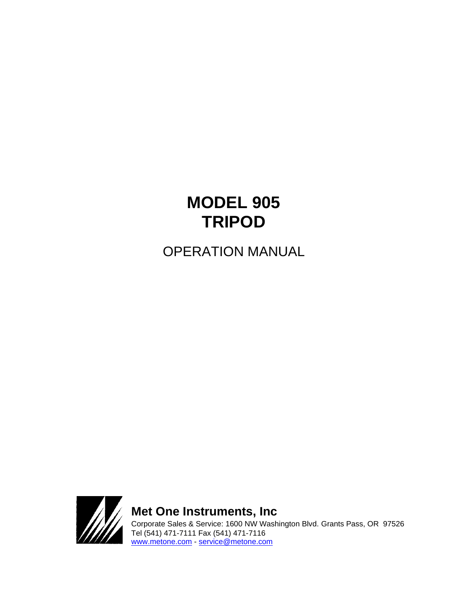# **MODEL 905 TRIPOD**

OPERATION MANUAL



**Met One Instruments, Inc**  Corporate Sales & Service: 1600 NW Washington Blvd. Grants Pass, OR 97526 Tel (541) 471-7111 Fax (541) 471-7116 [www.metone.com](http://www.metone.com/) - [service@metone.com](mailto:service@metone.com)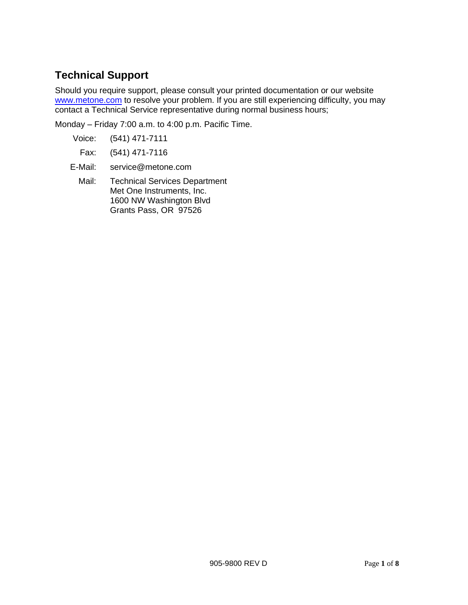## **Technical Support**

Should you require support, please consult your printed documentation or our website [www.metone.com](http://www.metone.com/) to resolve your problem. If you are still experiencing difficulty, you may contact a Technical Service representative during normal business hours;

Monday – Friday 7:00 a.m. to 4:00 p.m. Pacific Time.

- Voice: (541) 471-7111
	- Fax: (541) 471-7116
- E-Mail: service@metone.com
	- Mail: Technical Services Department Met One Instruments, Inc. 1600 NW Washington Blvd Grants Pass, OR 97526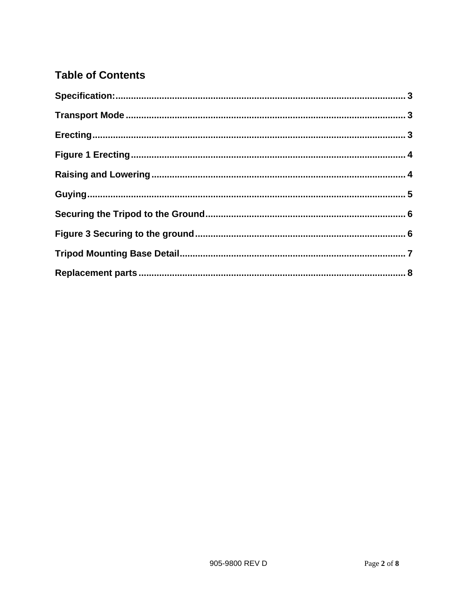# **Table of Contents**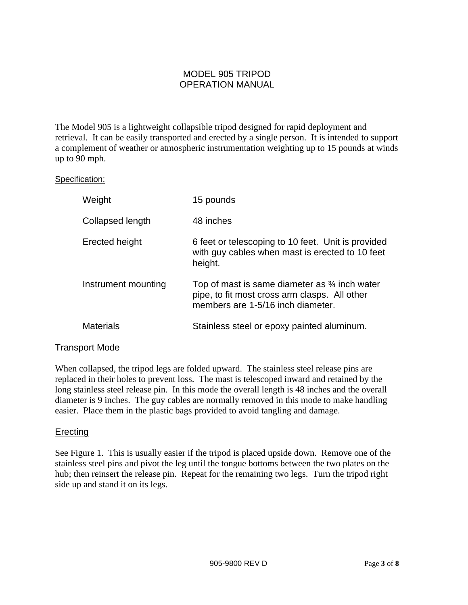### MODEL 905 TRIPOD OPERATION MANUAL

The Model 905 is a lightweight collapsible tripod designed for rapid deployment and retrieval. It can be easily transported and erected by a single person. It is intended to support a complement of weather or atmospheric instrumentation weighting up to 15 pounds at winds up to 90 mph.

### <span id="page-4-0"></span>Specification:

| Weight              | 15 pounds                                                                                                                                      |
|---------------------|------------------------------------------------------------------------------------------------------------------------------------------------|
| Collapsed length    | 48 inches                                                                                                                                      |
| Erected height      | 6 feet or telescoping to 10 feet. Unit is provided<br>with guy cables when mast is erected to 10 feet<br>height.                               |
| Instrument mounting | Top of mast is same diameter as $\frac{3}{4}$ inch water<br>pipe, to fit most cross arm clasps. All other<br>members are 1-5/16 inch diameter. |
| Materials           | Stainless steel or epoxy painted aluminum.                                                                                                     |

### <span id="page-4-1"></span>Transport Mode

When collapsed, the tripod legs are folded upward. The stainless steel release pins are replaced in their holes to prevent loss. The mast is telescoped inward and retained by the long stainless steel release pin. In this mode the overall length is 48 inches and the overall diameter is 9 inches. The guy cables are normally removed in this mode to make handling easier. Place them in the plastic bags provided to avoid tangling and damage.

### <span id="page-4-2"></span>**Erecting**

See Figure 1. This is usually easier if the tripod is placed upside down. Remove one of the stainless steel pins and pivot the leg until the tongue bottoms between the two plates on the hub; then reinsert the release pin. Repeat for the remaining two legs. Turn the tripod right side up and stand it on its legs.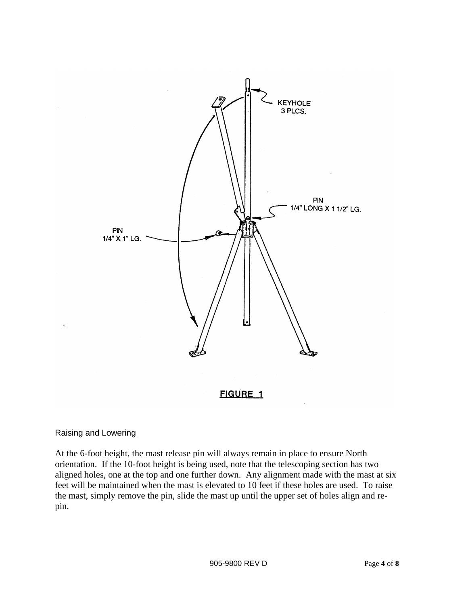

### <span id="page-5-1"></span><span id="page-5-0"></span>Raising and Lowering

At the 6-foot height, the mast release pin will always remain in place to ensure North orientation. If the 10-foot height is being used, note that the telescoping section has two aligned holes, one at the top and one further down. Any alignment made with the mast at six feet will be maintained when the mast is elevated to 10 feet if these holes are used. To raise the mast, simply remove the pin, slide the mast up until the upper set of holes align and repin.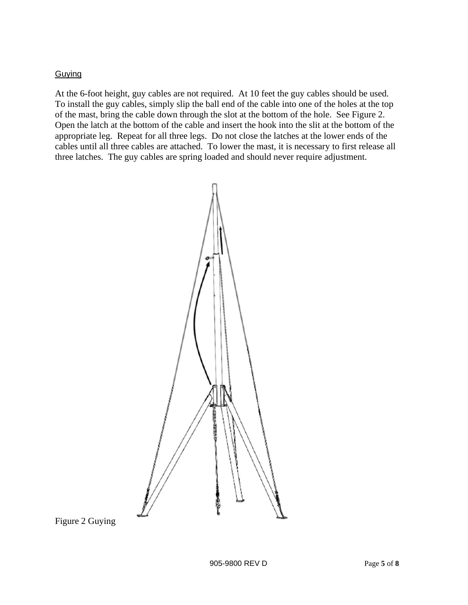### <span id="page-6-0"></span>**Guying**

At the 6-foot height, guy cables are not required. At 10 feet the guy cables should be used. To install the guy cables, simply slip the ball end of the cable into one of the holes at the top of the mast, bring the cable down through the slot at the bottom of the hole. See Figure 2. Open the latch at the bottom of the cable and insert the hook into the slit at the bottom of the appropriate leg. Repeat for all three legs. Do not close the latches at the lower ends of the cables until all three cables are attached. To lower the mast, it is necessary to first release all three latches. The guy cables are spring loaded and should never require adjustment.



Figure 2 Guying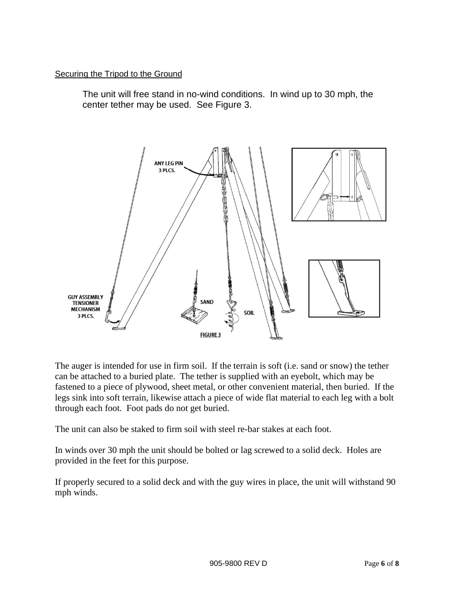### <span id="page-7-0"></span>Securing the Tripod to the Ground

The unit will free stand in no-wind conditions. In wind up to 30 mph, the center tether may be used. See Figure 3.



<span id="page-7-1"></span>The auger is intended for use in firm soil. If the terrain is soft (i.e. sand or snow) the tether can be attached to a buried plate. The tether is supplied with an eyebolt, which may be fastened to a piece of plywood, sheet metal, or other convenient material, then buried. If the legs sink into soft terrain, likewise attach a piece of wide flat material to each leg with a bolt through each foot. Foot pads do not get buried.

The unit can also be staked to firm soil with steel re-bar stakes at each foot.

In winds over 30 mph the unit should be bolted or lag screwed to a solid deck. Holes are provided in the feet for this purpose.

If properly secured to a solid deck and with the guy wires in place, the unit will withstand 90 mph winds.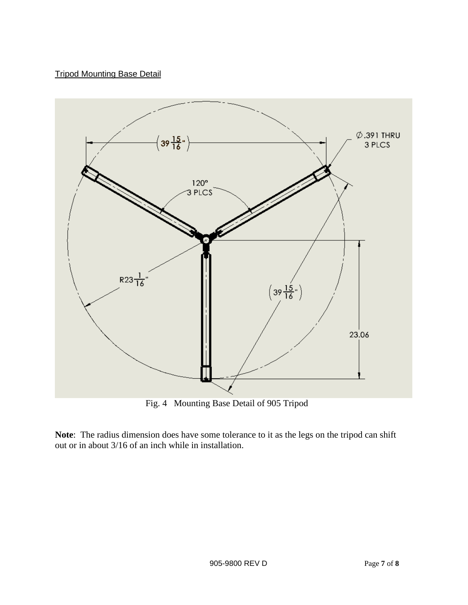### <span id="page-8-0"></span>Tripod Mounting Base Detail



**Note**: The radius dimension does have some tolerance to it as the legs on the tripod can shift out or in about 3/16 of an inch while in installation.